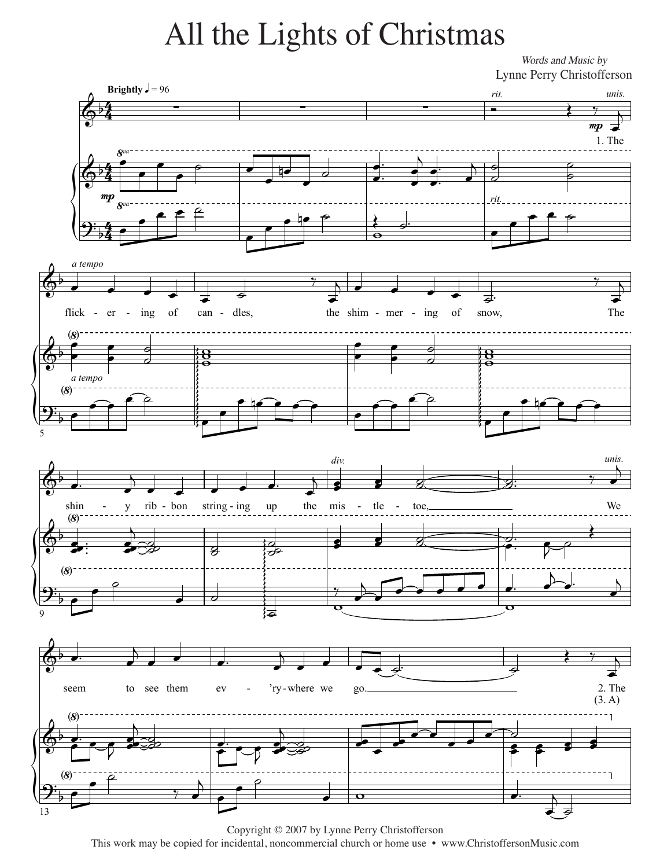## All the Lights of Christmas All the Lights of Christmas

*Words and Music by* Words and Music by Lynne Perry Christofferson Lynne Perry Christofferson



Copyright © 2007 by Lynne Perry Christofferson Copyright © 2007 by Lynne Perry Christofferson This work may be copied for incidental, noncommercial church or home use • www.ChristoffersonMusic.com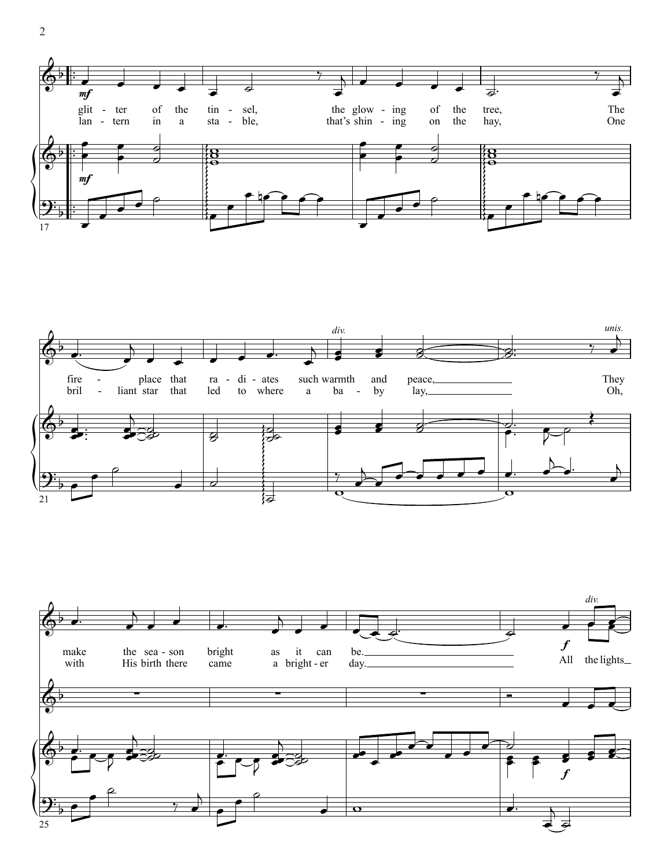



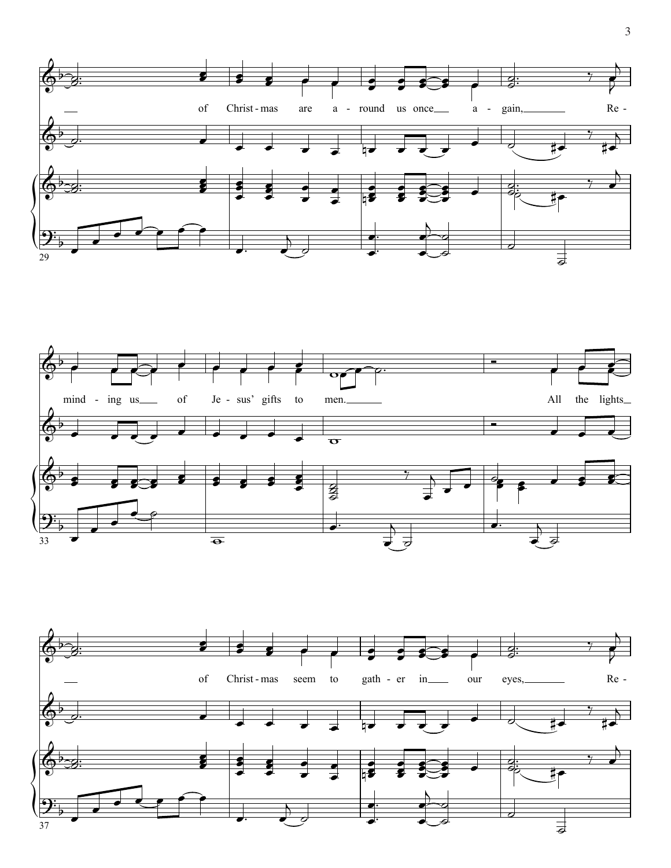



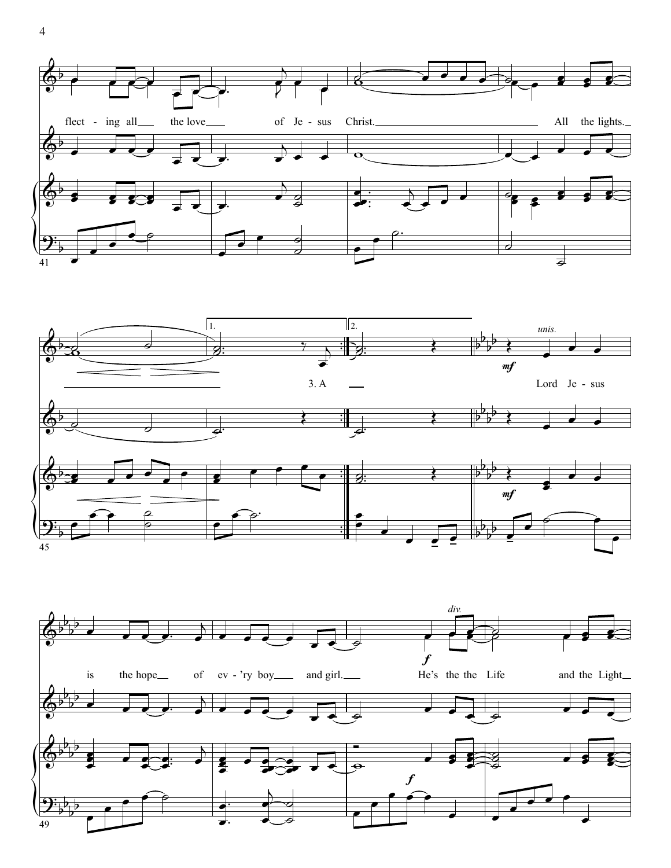





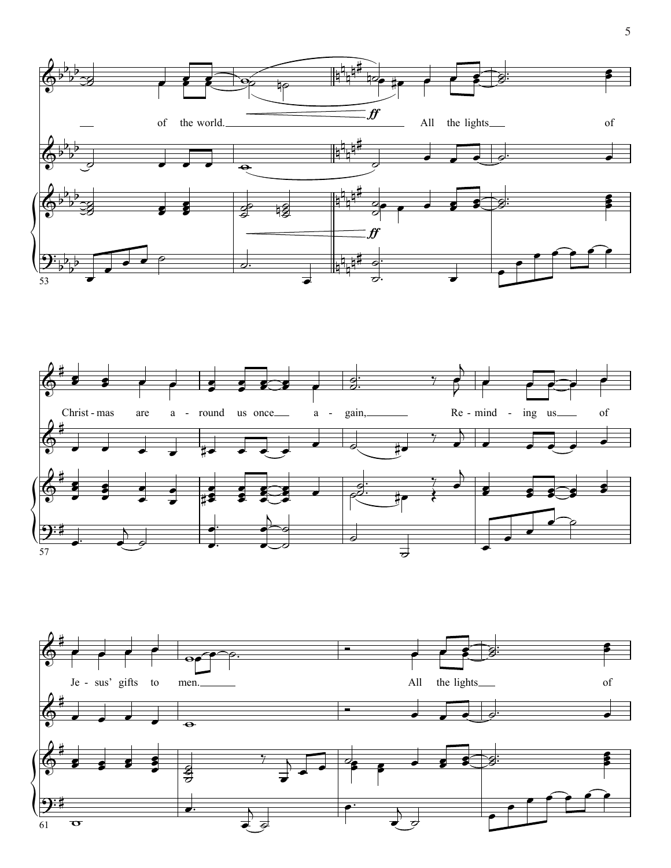